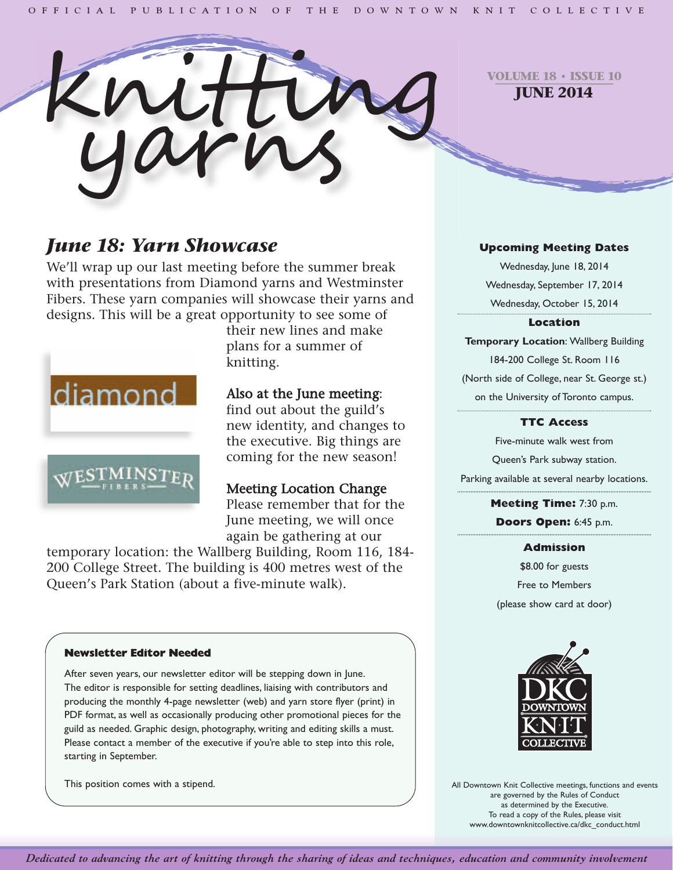

**VOLUME 18 • ISSUE 10 JUNE 2014**

# *June 18: Yarn Showcase*

We'll wrap up our last meeting before the summer break with presentations from Diamond yarns and Westminster Fibers. These yarn companies will showcase their yarns and designs. This will be a great opportunity to see some of



their new lines and make plans for a summer of knitting.

# Also at the June meeting:

find out about the guild's new identity, and changes to the executive. Big things are coming for the new season!

# Meeting Location Change

Please remember that for the June meeting, we will once again be gathering at our

temporary location: the Wallberg Building, Room 116, 184- 200 College Street. The building is 400 metres west of the Queen's Park Station (about a five-minute walk).

## **Upcoming Meeting Dates**

Wednesday, June 18, 2014 Wednesday, September 17, 2014 Wednesday, October 15, 2014

#### **Location**

**Temporary Location**: Wallberg Building 184-200 College St. Room 116 (North side of College, near St. George st.) on the University of Toronto campus.

## **TTC Access**

Five-minute walk west from Queen's Park subway station. Parking available at several nearby locations.

> **Meeting Time:** 7:30 p.m. **Doors Open:** 6:45 p.m.

### **Admission**

\$8.00 for guests Free to Members (please show card at door)



All Downtown Knit Collective meetings, functions and events are governed by the Rules of Conduct as determined by the Executive. To read a copy of the Rules, please visit www.downtownknitcollective.ca/dkc\_conduct.html

#### **Newsletter Editor Needed**

After seven years, our newsletter editor will be stepping down in June. The editor is responsible for setting deadlines, liaising with contributors and producing the monthly 4-page newsletter (web) and yarn store flyer (print) in PDF format, as well as occasionally producing other promotional pieces for the guild as needed. Graphic design, photography, writing and editing skills a must. Please contact a member of the executive if you're able to step into this role, starting in September.

This position comes with a stipend.

Dedicated to advancing the art of knitting through the sharing of ideas and techniques, education and community involvement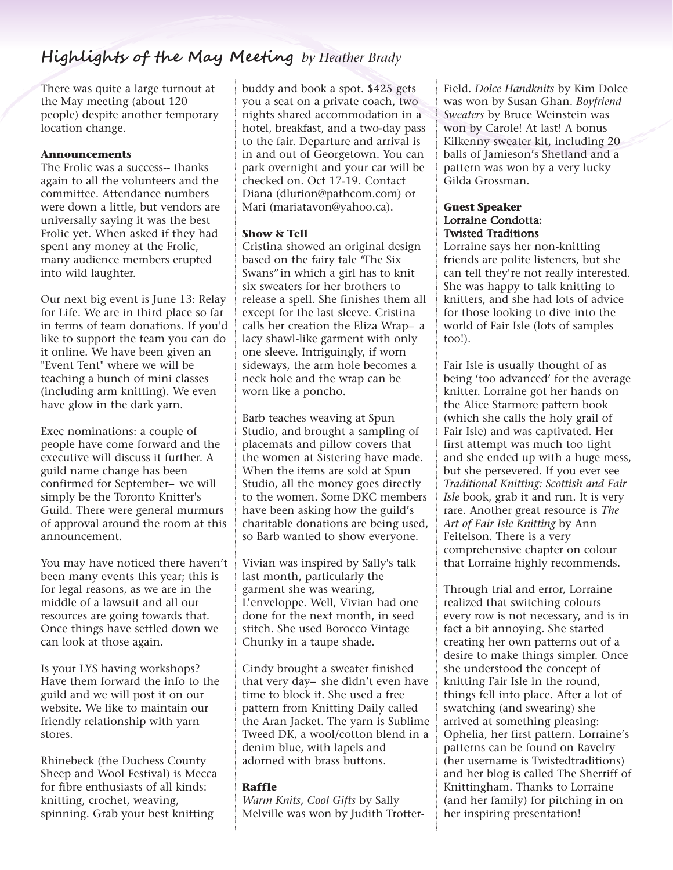# **Highlights of the May Meeting** *by Heather Brady*

There was quite a large turnout at the May meeting (about 120 people) despite another temporary location change.

#### **Announcements**

The Frolic was a success-- thanks again to all the volunteers and the committee. Attendance numbers were down a little, but vendors are universally saying it was the best Frolic yet. When asked if they had spent any money at the Frolic, many audience members erupted into wild laughter.

Our next big event is June 13: Relay for Life. We are in third place so far in terms of team donations. If you'd like to support the team you can do it online. We have been given an "Event Tent" where we will be teaching a bunch of mini classes (including arm knitting). We even have glow in the dark yarn.

Exec nominations: a couple of people have come forward and the executive will discuss it further. A guild name change has been confirmed for September– we will simply be the Toronto Knitter's Guild. There were general murmurs of approval around the room at this announcement.

You may have noticed there haven't been many events this year; this is for legal reasons, as we are in the middle of a lawsuit and all our resources are going towards that. Once things have settled down we can look at those again.

Is your LYS having workshops? Have them forward the info to the guild and we will post it on our website. We like to maintain our friendly relationship with yarn stores.

Rhinebeck (the Duchess County Sheep and Wool Festival) is Mecca for fibre enthusiasts of all kinds: knitting, crochet, weaving, spinning. Grab your best knitting

buddy and book a spot. \$425 gets you a seat on a private coach, two nights shared accommodation in a hotel, breakfast, and a two-day pass to the fair. Departure and arrival is in and out of Georgetown. You can park overnight and your car will be checked on. Oct 17-19. Contact Diana (dlurion@pathcom.com) or Mari (mariatavon@yahoo.ca).

#### **Show & Tell**

Cristina showed an original design based on the fairy tale "The Six Swans"in which a girl has to knit six sweaters for her brothers to release a spell. She finishes them all except for the last sleeve. Cristina calls her creation the Eliza Wrap– a lacy shawl-like garment with only one sleeve. Intriguingly, if worn sideways, the arm hole becomes a neck hole and the wrap can be worn like a poncho.

Barb teaches weaving at Spun Studio, and brought a sampling of placemats and pillow covers that the women at Sistering have made. When the items are sold at Spun Studio, all the money goes directly to the women. Some DKC members have been asking how the guild's charitable donations are being used, so Barb wanted to show everyone.

Vivian was inspired by Sally's talk last month, particularly the garment she was wearing, L'enveloppe. Well, Vivian had one done for the next month, in seed stitch. She used Borocco Vintage Chunky in a taupe shade.

Cindy brought a sweater finished that very day– she didn't even have time to block it. She used a free pattern from Knitting Daily called the Aran Jacket. The yarn is Sublime Tweed DK, a wool/cotton blend in a denim blue, with lapels and adorned with brass buttons.

#### **Raffle**

*Warm Knits, Cool Gifts* by Sally Melville was won by Judith Trotter-

Field. *Dolce Handknits* by Kim Dolce was won by Susan Ghan. *Boyfriend Sweaters* by Bruce Weinstein was won by Carole! At last! A bonus Kilkenny sweater kit, including 20 balls of Jamieson's Shetland and a pattern was won by a very lucky Gilda Grossman.

#### **Guest Speaker** Lorraine Condotta: Twisted Traditions

Lorraine says her non-knitting friends are polite listeners, but she can tell they're not really interested. She was happy to talk knitting to knitters, and she had lots of advice for those looking to dive into the world of Fair Isle (lots of samples too!).

Fair Isle is usually thought of as being 'too advanced' for the average knitter. Lorraine got her hands on the Alice Starmore pattern book (which she calls the holy grail of Fair Isle) and was captivated. Her first attempt was much too tight and she ended up with a huge mess, but she persevered. If you ever see *Traditional Knitting: Scottish and Fair Isle* book, grab it and run. It is very rare. Another great resource is *The Art of Fair Isle Knitting* by Ann Feitelson. There is a very comprehensive chapter on colour that Lorraine highly recommends.

Through trial and error, Lorraine realized that switching colours every row is not necessary, and is in fact a bit annoying. She started creating her own patterns out of a desire to make things simpler. Once she understood the concept of knitting Fair Isle in the round, things fell into place. After a lot of swatching (and swearing) she arrived at something pleasing: Ophelia, her first pattern. Lorraine's patterns can be found on Ravelry (her username is Twistedtraditions) and her blog is called The Sherriff of Knittingham. Thanks to Lorraine (and her family) for pitching in on her inspiring presentation!